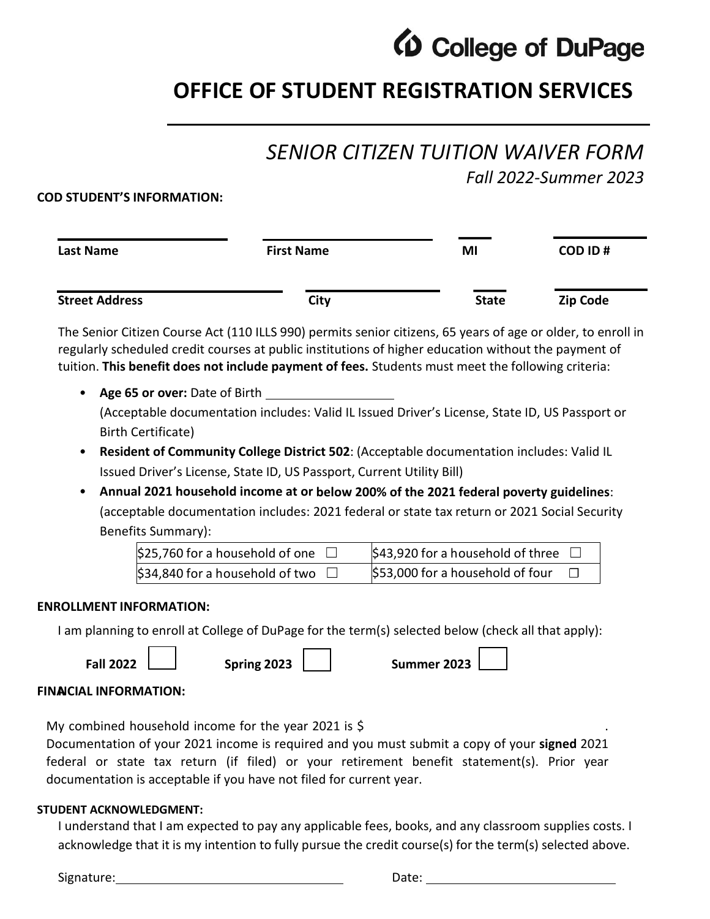

# **OFFICE OF STUDENT REGISTRATION SERVICES**

# *SENIOR CITIZEN TUITION WAIVER FORM*

*Fall 2022-Summer 2023*

### **COD STUDENT'S INFORMATION:**

| Last Name             | <b>First Name</b> | MI           | COD ID#         |  |
|-----------------------|-------------------|--------------|-----------------|--|
| <b>Street Address</b> | City              | <b>State</b> | <b>Zip Code</b> |  |

The Senior Citizen Course Act (110 ILLS 990) permits senior citizens, 65 years of age or older, to enroll in regularly scheduled credit courses at public institutions of higher education without the payment of tuition. **This benefit does not include payment of fees.** Students must meet the following criteria:

- **Age 65 or over:** Date of Birth (Acceptable documentation includes: Valid IL Issued Driver's License, State ID, US Passport or Birth Certificate)
- **Resident of Community College District 502**: (Acceptable documentation includes: Valid IL Issued Driver's License, State ID, US Passport, Current Utility Bill)
- **Annual 2021 household income at or below 200% of the 2021 federal poverty guidelines**: (acceptable documentation includes: 2021 federal or state tax return or 2021 Social Security Benefits Summary):

| \$25,760 for a household of one | \$43,920 for a household of three |
|---------------------------------|-----------------------------------|
| \$34,840 for a household of two | \$53,000 for a household of four  |

#### **ENROLLMENT INFORMATION:**

I am planning to enroll at College of DuPage for the term(s) selected below (check all that apply):

**Fall 2022**

**Spring 2023 Summer 2023**

# **FINANCIAL INFORMATION:**

My combined household income for the year 2021 is  $\oint$ 

Documentation of your 2021 income is required and you must submit a copy of your **signed** 2021 federal or state tax return (if filed) or your retirement benefit statement(s). Prior year documentation is acceptable if you have not filed for current year.

# **STUDENT ACKNOWLEDGMENT:**

I understand that I am expected to pay any applicable fees, books, and any classroom supplies costs. I acknowledge that it is my intention to fully pursue the credit course(s) for the term(s) selected above.

Signature: Date: